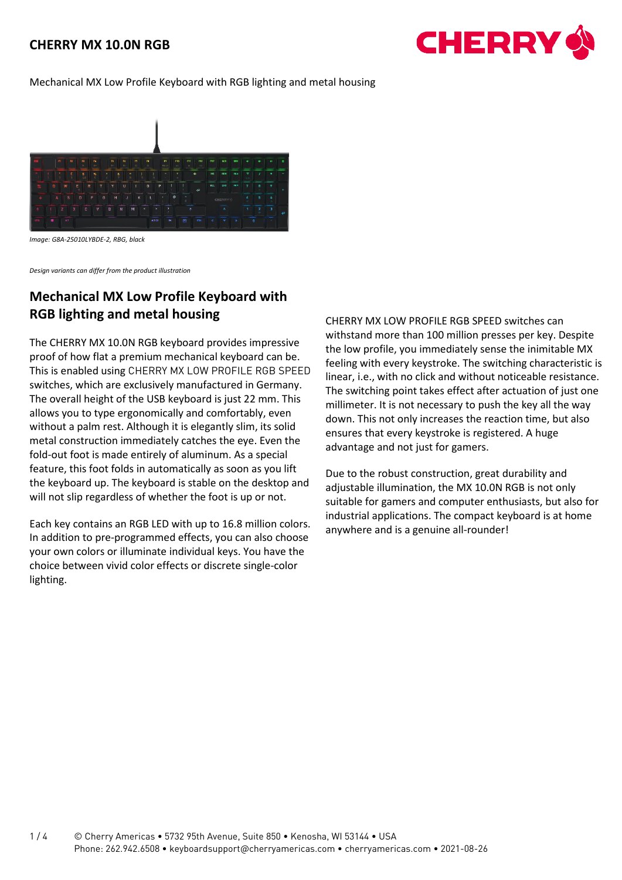

#### Mechanical MX Low Profile Keyboard with RGB lighting and metal housing



*Image: G8A-25010LYBDE-2, RBG, black*

*Design variants can differ from the product illustration*

# **Mechanical MX Low Profile Keyboard with RGB lighting and metal housing**

The CHERRY MX 10.0N RGB keyboard provides impressive proof of how flat a premium mechanical keyboard can be. This is enabled using CHERRY MX LOW PROFILE RGB SPEED switches, which are exclusively manufactured in Germany. The overall height of the USB keyboard is just 22 mm. This allows you to type ergonomically and comfortably, even without a palm rest. Although it is elegantly slim, its solid metal construction immediately catches the eye. Even the fold-out foot is made entirely of aluminum. As a special feature, this foot folds in automatically as soon as you lift the keyboard up. The keyboard is stable on the desktop and will not slip regardless of whether the foot is up or not.

Each key contains an RGB LED with up to 16.8 million colors. In addition to pre-programmed effects, you can also choose your own colors or illuminate individual keys. You have the choice between vivid color effects or discrete single-color lighting.

CHERRY MX LOW PROFILE RGB SPEED switches can withstand more than 100 million presses per key. Despite the low profile, you immediately sense the inimitable MX feeling with every keystroke. The switching characteristic is linear, i.e., with no click and without noticeable resistance. The switching point takes effect after actuation of just one millimeter. It is not necessary to push the key all the way down. This not only increases the reaction time, but also ensures that every keystroke is registered. A huge advantage and not just for gamers.

Due to the robust construction, great durability and adjustable illumination, the MX 10.0N RGB is not only suitable for gamers and computer enthusiasts, but also for industrial applications. The compact keyboard is at home anywhere and is a genuine all-rounder!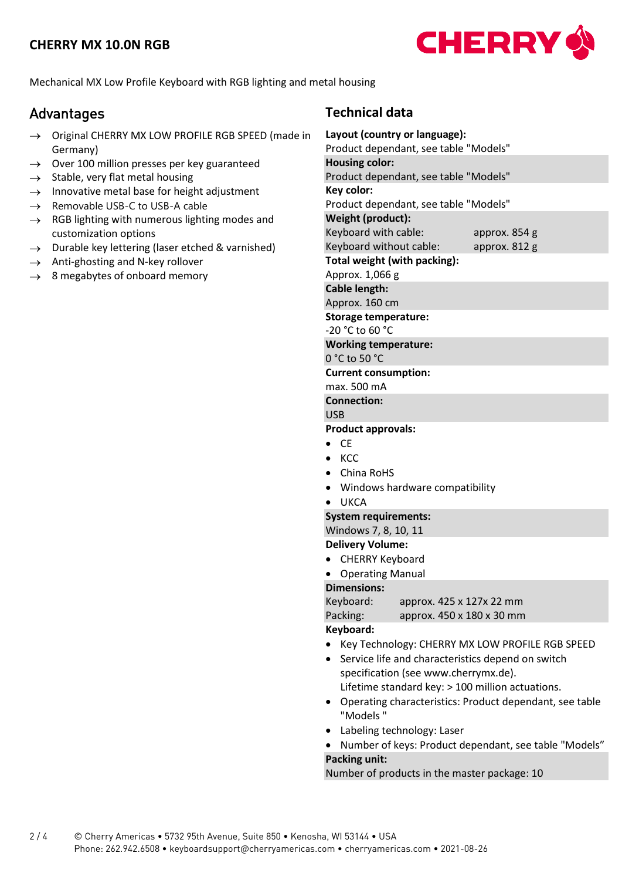

Mechanical MX Low Profile Keyboard with RGB lighting and metal housing

# Advantages

- → Original CHERRY MX LOW PROFILE RGB SPEED (made in Germany)
- $\rightarrow$  Over 100 million presses per key guaranteed
- $\rightarrow$  Stable, very flat metal housing
- $\rightarrow$  Innovative metal base for height adjustment
- $\rightarrow$  Removable USB-C to USB-A cable
- $\rightarrow$  RGB lighting with numerous lighting modes and customization options
- $\rightarrow$  Durable key lettering (laser etched & varnished)
- $\rightarrow$  Anti-ghosting and N-key rollover
- $\rightarrow$  8 megabytes of onboard memory

## **Technical data**

| Layout (country or language):                                       |  |  |  |  |  |  |  |  |  |  |
|---------------------------------------------------------------------|--|--|--|--|--|--|--|--|--|--|
| Product dependant, see table "Models"                               |  |  |  |  |  |  |  |  |  |  |
| <b>Housing color:</b>                                               |  |  |  |  |  |  |  |  |  |  |
| Product dependant, see table "Models"                               |  |  |  |  |  |  |  |  |  |  |
| Key color:                                                          |  |  |  |  |  |  |  |  |  |  |
| Product dependant, see table "Models"                               |  |  |  |  |  |  |  |  |  |  |
| Weight (product):                                                   |  |  |  |  |  |  |  |  |  |  |
| Keyboard with cable:<br>approx. 854 g                               |  |  |  |  |  |  |  |  |  |  |
| Keyboard without cable:<br>approx. 812 g                            |  |  |  |  |  |  |  |  |  |  |
| Total weight (with packing):<br>Approx. 1,066 g                     |  |  |  |  |  |  |  |  |  |  |
| <b>Cable length:</b>                                                |  |  |  |  |  |  |  |  |  |  |
| Approx. 160 cm                                                      |  |  |  |  |  |  |  |  |  |  |
| <b>Storage temperature:</b>                                         |  |  |  |  |  |  |  |  |  |  |
| -20 °C to 60 °C                                                     |  |  |  |  |  |  |  |  |  |  |
| <b>Working temperature:</b>                                         |  |  |  |  |  |  |  |  |  |  |
| 0 °C to 50 °C                                                       |  |  |  |  |  |  |  |  |  |  |
| <b>Current consumption:</b>                                         |  |  |  |  |  |  |  |  |  |  |
| max. 500 mA                                                         |  |  |  |  |  |  |  |  |  |  |
| <b>Connection:</b>                                                  |  |  |  |  |  |  |  |  |  |  |
| <b>USB</b>                                                          |  |  |  |  |  |  |  |  |  |  |
| <b>Product approvals:</b>                                           |  |  |  |  |  |  |  |  |  |  |
| <b>CE</b>                                                           |  |  |  |  |  |  |  |  |  |  |
| <b>KCC</b>                                                          |  |  |  |  |  |  |  |  |  |  |
| China RoHS<br>$\bullet$                                             |  |  |  |  |  |  |  |  |  |  |
| Windows hardware compatibility                                      |  |  |  |  |  |  |  |  |  |  |
| <b>UKCA</b>                                                         |  |  |  |  |  |  |  |  |  |  |
| <b>System requirements:</b>                                         |  |  |  |  |  |  |  |  |  |  |
| Windows 7, 8, 10, 11                                                |  |  |  |  |  |  |  |  |  |  |
| <b>Delivery Volume:</b>                                             |  |  |  |  |  |  |  |  |  |  |
| <b>CHERRY Keyboard</b>                                              |  |  |  |  |  |  |  |  |  |  |
| <b>Operating Manual</b>                                             |  |  |  |  |  |  |  |  |  |  |
| <b>Dimensions:</b>                                                  |  |  |  |  |  |  |  |  |  |  |
| Keyboard:<br>approx. 425 x 127x 22 mm                               |  |  |  |  |  |  |  |  |  |  |
| Packing:<br>approx. 450 x 180 x 30 mm                               |  |  |  |  |  |  |  |  |  |  |
| Keyboard:                                                           |  |  |  |  |  |  |  |  |  |  |
|                                                                     |  |  |  |  |  |  |  |  |  |  |
| Key Technology: CHERRY MX LOW PROFILE RGB SPEED                     |  |  |  |  |  |  |  |  |  |  |
| Service life and characteristics depend on switch                   |  |  |  |  |  |  |  |  |  |  |
| specification (see www.cherrymx.de).                                |  |  |  |  |  |  |  |  |  |  |
| Lifetime standard key: > 100 million actuations.                    |  |  |  |  |  |  |  |  |  |  |
| Operating characteristics: Product dependant, see table<br>"Models" |  |  |  |  |  |  |  |  |  |  |
| I aholing tochnologue I                                             |  |  |  |  |  |  |  |  |  |  |

- Labeling technology: Laser
- Number of keys: Product dependant, see table "Models" **Packing unit:**

Number of products in the master package: 10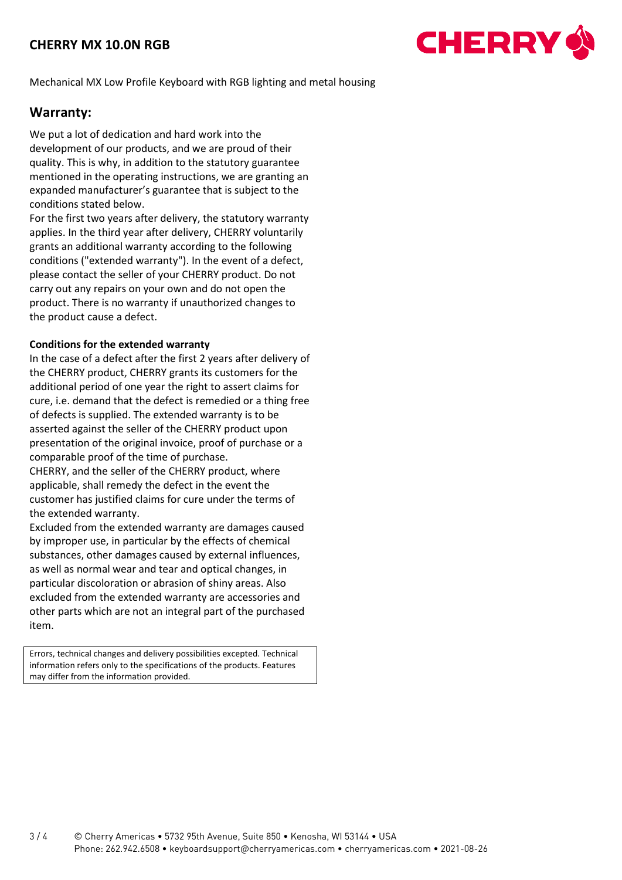

Mechanical MX Low Profile Keyboard with RGB lighting and metal housing

#### **Warranty:**

We put a lot of dedication and hard work into the development of our products, and we are proud of their quality. This is why, in addition to the statutory guarantee mentioned in the operating instructions, we are granting an expanded manufacturer's guarantee that is subject to the conditions stated below.

For the first two years after delivery, the statutory warranty applies. In the third year after delivery, CHERRY voluntarily grants an additional warranty according to the following conditions ("extended warranty"). In the event of a defect, please contact the seller of your CHERRY product. Do not carry out any repairs on your own and do not open the product. There is no warranty if unauthorized changes to the product cause a defect.

#### **Conditions for the extended warranty**

In the case of a defect after the first 2 years after delivery of the CHERRY product, CHERRY grants its customers for the additional period of one year the right to assert claims for cure, i.e. demand that the defect is remedied or a thing free of defects is supplied. The extended warranty is to be asserted against the seller of the CHERRY product upon presentation of the original invoice, proof of purchase or a comparable proof of the time of purchase.

CHERRY, and the seller of the CHERRY product, where applicable, shall remedy the defect in the event the customer has justified claims for cure under the terms of the extended warranty.

Excluded from the extended warranty are damages caused by improper use, in particular by the effects of chemical substances, other damages caused by external influences, as well as normal wear and tear and optical changes, in particular discoloration or abrasion of shiny areas. Also excluded from the extended warranty are accessories and other parts which are not an integral part of the purchased item.

Errors, technical changes and delivery possibilities excepted. Technical information refers only to the specifications of the products. Features may differ from the information provided.